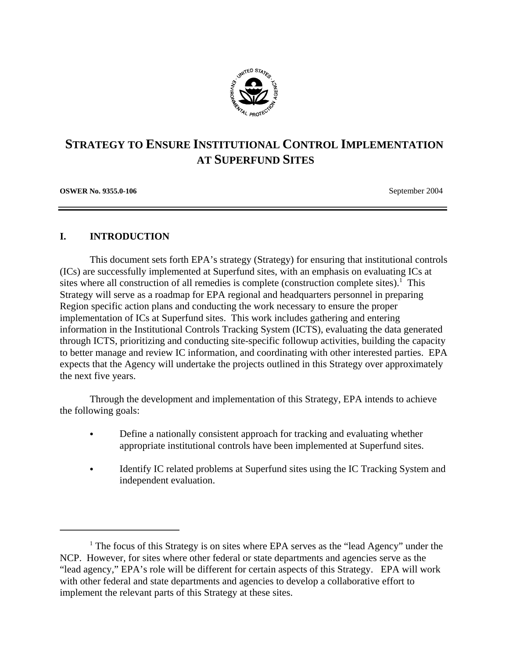

# **STRATEGY TO ENSURE INSTITUTIONAL CONTROL IMPLEMENTATION AT SUPERFUND SITES**

**OSWER No. 9355.0-106 September 2004 September 2004** 

# **I. INTRODUCTION**

This document sets forth EPA's strategy (Strategy) for ensuring that institutional controls (ICs) are successfully implemented at Superfund sites, with an emphasis on evaluating ICs at sites where all construction of all remedies is complete (construction complete sites).<sup>1</sup> This Strategy will serve as a roadmap for EPA regional and headquarters personnel in preparing Region specific action plans and conducting the work necessary to ensure the proper implementation of ICs at Superfund sites. This work includes gathering and entering information in the Institutional Controls Tracking System (ICTS), evaluating the data generated through ICTS, prioritizing and conducting site-specific followup activities, building the capacity to better manage and review IC information, and coordinating with other interested parties. EPA expects that the Agency will undertake the projects outlined in this Strategy over approximately the next five years.

Through the development and implementation of this Strategy, EPA intends to achieve the following goals:

- Define a nationally consistent approach for tracking and evaluating whether appropriate institutional controls have been implemented at Superfund sites.
- C Identify IC related problems at Superfund sites using the IC Tracking System and independent evaluation.

<sup>&</sup>lt;sup>1</sup> The focus of this Strategy is on sites where EPA serves as the "lead Agency" under the NCP. However, for sites where other federal or state departments and agencies serve as the "lead agency," EPA's role will be different for certain aspects of this Strategy. EPA will work with other federal and state departments and agencies to develop a collaborative effort to implement the relevant parts of this Strategy at these sites.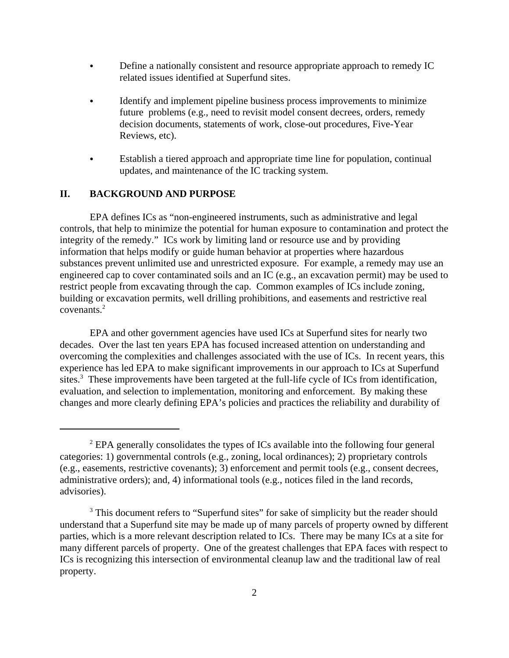- Define a nationally consistent and resource appropriate approach to remedy IC related issues identified at Superfund sites.
- Identify and implement pipeline business process improvements to minimize future problems (e.g., need to revisit model consent decrees, orders, remedy decision documents, statements of work, close-out procedures, Five-Year Reviews, etc).
- Establish a tiered approach and appropriate time line for population, continual updates, and maintenance of the IC tracking system.

# **II. BACKGROUND AND PURPOSE**

EPA defines ICs as "non-engineered instruments, such as administrative and legal controls, that help to minimize the potential for human exposure to contamination and protect the integrity of the remedy." ICs work by limiting land or resource use and by providing information that helps modify or guide human behavior at properties where hazardous substances prevent unlimited use and unrestricted exposure. For example, a remedy may use an engineered cap to cover contaminated soils and an IC (e.g., an excavation permit) may be used to restrict people from excavating through the cap. Common examples of ICs include zoning, building or excavation permits, well drilling prohibitions, and easements and restrictive real covenants.<sup>2</sup>

EPA and other government agencies have used ICs at Superfund sites for nearly two decades. Over the last ten years EPA has focused increased attention on understanding and overcoming the complexities and challenges associated with the use of ICs. In recent years, this experience has led EPA to make significant improvements in our approach to ICs at Superfund sites.<sup>3</sup> These improvements have been targeted at the full-life cycle of ICs from identification, evaluation, and selection to implementation, monitoring and enforcement. By making these changes and more clearly defining EPA's policies and practices the reliability and durability of

 $2$  EPA generally consolidates the types of ICs available into the following four general categories: 1) governmental controls (e.g., zoning, local ordinances); 2) proprietary controls (e.g., easements, restrictive covenants); 3) enforcement and permit tools (e.g., consent decrees, administrative orders); and, 4) informational tools (e.g., notices filed in the land records, advisories).

<sup>&</sup>lt;sup>3</sup> This document refers to "Superfund sites" for sake of simplicity but the reader should understand that a Superfund site may be made up of many parcels of property owned by different parties, which is a more relevant description related to ICs. There may be many ICs at a site for many different parcels of property. One of the greatest challenges that EPA faces with respect to ICs is recognizing this intersection of environmental cleanup law and the traditional law of real property.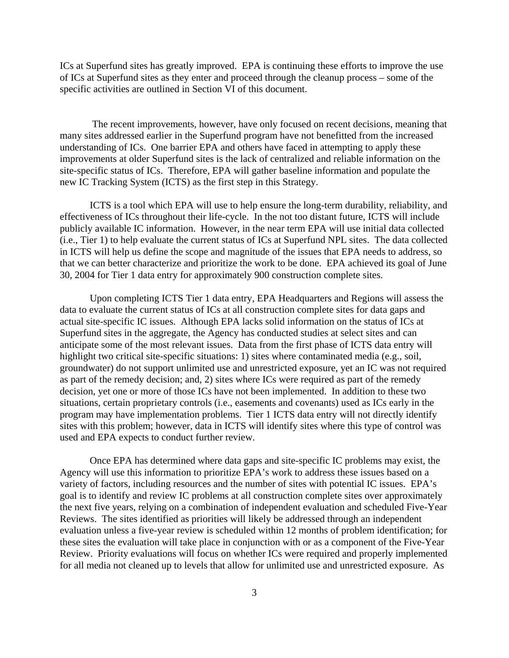ICs at Superfund sites has greatly improved. EPA is continuing these efforts to improve the use of ICs at Superfund sites as they enter and proceed through the cleanup process – some of the specific activities are outlined in Section VI of this document.

 The recent improvements, however, have only focused on recent decisions, meaning that many sites addressed earlier in the Superfund program have not benefitted from the increased understanding of ICs. One barrier EPA and others have faced in attempting to apply these improvements at older Superfund sites is the lack of centralized and reliable information on the site-specific status of ICs. Therefore, EPA will gather baseline information and populate the new IC Tracking System (ICTS) as the first step in this Strategy.

ICTS is a tool which EPA will use to help ensure the long-term durability, reliability, and effectiveness of ICs throughout their life-cycle. In the not too distant future, ICTS will include publicly available IC information. However, in the near term EPA will use initial data collected (i.e., Tier 1) to help evaluate the current status of ICs at Superfund NPL sites. The data collected in ICTS will help us define the scope and magnitude of the issues that EPA needs to address, so that we can better characterize and prioritize the work to be done. EPA achieved its goal of June 30, 2004 for Tier 1 data entry for approximately 900 construction complete sites.

Upon completing ICTS Tier 1 data entry, EPA Headquarters and Regions will assess the data to evaluate the current status of ICs at all construction complete sites for data gaps and actual site-specific IC issues. Although EPA lacks solid information on the status of ICs at Superfund sites in the aggregate, the Agency has conducted studies at select sites and can anticipate some of the most relevant issues. Data from the first phase of ICTS data entry will highlight two critical site-specific situations: 1) sites where contaminated media (e.g., soil, groundwater) do not support unlimited use and unrestricted exposure, yet an IC was not required as part of the remedy decision; and, 2) sites where ICs were required as part of the remedy decision, yet one or more of those ICs have not been implemented. In addition to these two situations, certain proprietary controls (i.e., easements and covenants) used as ICs early in the program may have implementation problems. Tier 1 ICTS data entry will not directly identify sites with this problem; however, data in ICTS will identify sites where this type of control was used and EPA expects to conduct further review.

Once EPA has determined where data gaps and site-specific IC problems may exist, the Agency will use this information to prioritize EPA's work to address these issues based on a variety of factors, including resources and the number of sites with potential IC issues. EPA's goal is to identify and review IC problems at all construction complete sites over approximately the next five years, relying on a combination of independent evaluation and scheduled Five-Year Reviews. The sites identified as priorities will likely be addressed through an independent evaluation unless a five-year review is scheduled within 12 months of problem identification; for these sites the evaluation will take place in conjunction with or as a component of the Five-Year Review. Priority evaluations will focus on whether ICs were required and properly implemented for all media not cleaned up to levels that allow for unlimited use and unrestricted exposure. As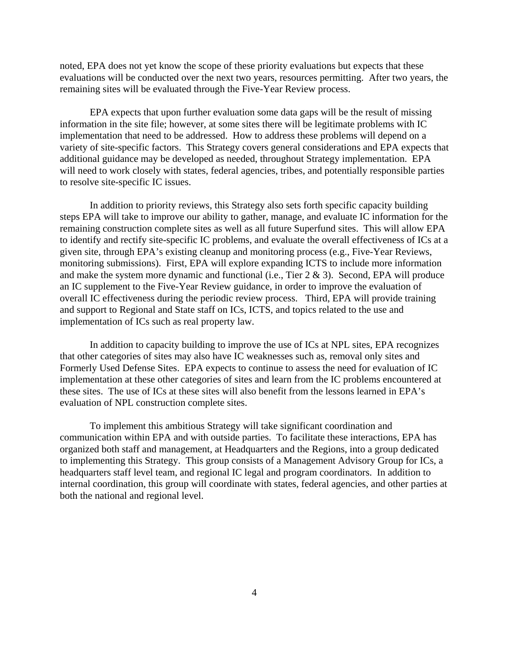noted, EPA does not yet know the scope of these priority evaluations but expects that these evaluations will be conducted over the next two years, resources permitting. After two years, the remaining sites will be evaluated through the Five-Year Review process.

EPA expects that upon further evaluation some data gaps will be the result of missing information in the site file; however, at some sites there will be legitimate problems with IC implementation that need to be addressed. How to address these problems will depend on a variety of site-specific factors. This Strategy covers general considerations and EPA expects that additional guidance may be developed as needed, throughout Strategy implementation. EPA will need to work closely with states, federal agencies, tribes, and potentially responsible parties to resolve site-specific IC issues.

In addition to priority reviews, this Strategy also sets forth specific capacity building steps EPA will take to improve our ability to gather, manage, and evaluate IC information for the remaining construction complete sites as well as all future Superfund sites. This will allow EPA to identify and rectify site-specific IC problems, and evaluate the overall effectiveness of ICs at a given site, through EPA's existing cleanup and monitoring process (e.g., Five-Year Reviews, monitoring submissions). First, EPA will explore expanding ICTS to include more information and make the system more dynamic and functional (i.e., Tier 2 & 3). Second, EPA will produce an IC supplement to the Five-Year Review guidance, in order to improve the evaluation of overall IC effectiveness during the periodic review process. Third, EPA will provide training and support to Regional and State staff on ICs, ICTS, and topics related to the use and implementation of ICs such as real property law.

In addition to capacity building to improve the use of ICs at NPL sites, EPA recognizes that other categories of sites may also have IC weaknesses such as, removal only sites and Formerly Used Defense Sites. EPA expects to continue to assess the need for evaluation of IC implementation at these other categories of sites and learn from the IC problems encountered at these sites. The use of ICs at these sites will also benefit from the lessons learned in EPA's evaluation of NPL construction complete sites.

To implement this ambitious Strategy will take significant coordination and communication within EPA and with outside parties. To facilitate these interactions, EPA has organized both staff and management, at Headquarters and the Regions, into a group dedicated to implementing this Strategy. This group consists of a Management Advisory Group for ICs, a headquarters staff level team, and regional IC legal and program coordinators. In addition to internal coordination, this group will coordinate with states, federal agencies, and other parties at both the national and regional level.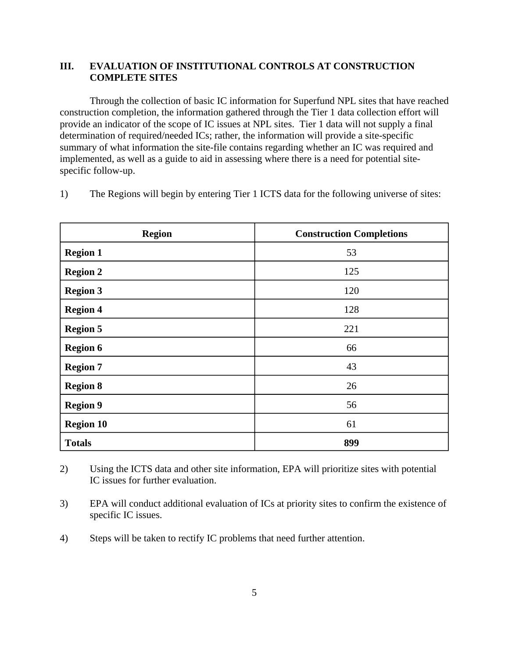# **III. EVALUATION OF INSTITUTIONAL CONTROLS AT CONSTRUCTION COMPLETE SITES**

Through the collection of basic IC information for Superfund NPL sites that have reached construction completion, the information gathered through the Tier 1 data collection effort will provide an indicator of the scope of IC issues at NPL sites. Tier 1 data will not supply a final determination of required/needed ICs; rather, the information will provide a site-specific summary of what information the site-file contains regarding whether an IC was required and implemented, as well as a guide to aid in assessing where there is a need for potential sitespecific follow-up.

1) The Regions will begin by entering Tier 1 ICTS data for the following universe of sites:

| <b>Region</b>    | <b>Construction Completions</b> |
|------------------|---------------------------------|
| <b>Region 1</b>  | 53                              |
| <b>Region 2</b>  | 125                             |
| <b>Region 3</b>  | 120                             |
| <b>Region 4</b>  | 128                             |
| <b>Region 5</b>  | 221                             |
| <b>Region 6</b>  | 66                              |
| <b>Region 7</b>  | 43                              |
| <b>Region 8</b>  | 26                              |
| <b>Region 9</b>  | 56                              |
| <b>Region 10</b> | 61                              |
| <b>Totals</b>    | 899                             |

2) Using the ICTS data and other site information, EPA will prioritize sites with potential IC issues for further evaluation.

3) EPA will conduct additional evaluation of ICs at priority sites to confirm the existence of specific IC issues.

4) Steps will be taken to rectify IC problems that need further attention.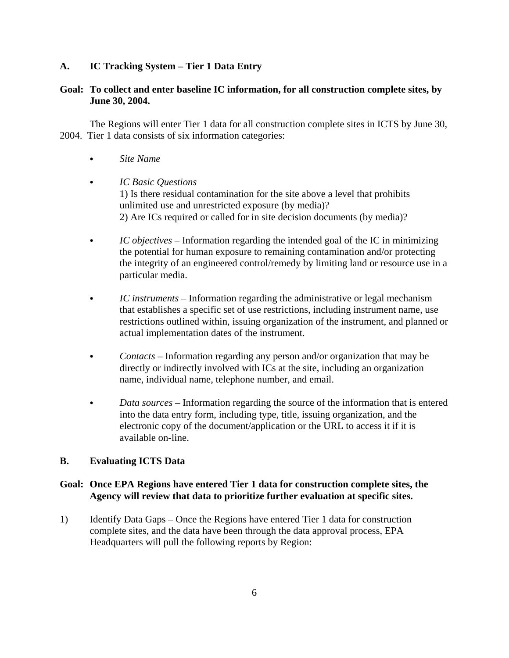# **A. IC Tracking System – Tier 1 Data Entry**

# **Goal: To collect and enter baseline IC information, for all construction complete sites, by June 30, 2004.**

The Regions will enter Tier 1 data for all construction complete sites in ICTS by June 30, 2004. Tier 1 data consists of six information categories:

- Site Name
- C *IC Basic Questions* 1) Is there residual contamination for the site above a level that prohibits unlimited use and unrestricted exposure (by media)? 2) Are ICs required or called for in site decision documents (by media)?
- C *IC objectives* Information regarding the intended goal of the IC in minimizing the potential for human exposure to remaining contamination and/or protecting the integrity of an engineered control/remedy by limiting land or resource use in a particular media.
- C *IC instruments* Information regarding the administrative or legal mechanism that establishes a specific set of use restrictions, including instrument name, use restrictions outlined within, issuing organization of the instrument, and planned or actual implementation dates of the instrument.
- *Contacts* Information regarding any person and/or organization that may be directly or indirectly involved with ICs at the site, including an organization name, individual name, telephone number, and email.
- *Data sources* Information regarding the source of the information that is entered into the data entry form, including type, title, issuing organization, and the electronic copy of the document/application or the URL to access it if it is available on-line.

# **B. Evaluating ICTS Data**

#### **Goal: Once EPA Regions have entered Tier 1 data for construction complete sites, the Agency will review that data to prioritize further evaluation at specific sites.**

1) Identify Data Gaps – Once the Regions have entered Tier 1 data for construction complete sites, and the data have been through the data approval process, EPA Headquarters will pull the following reports by Region: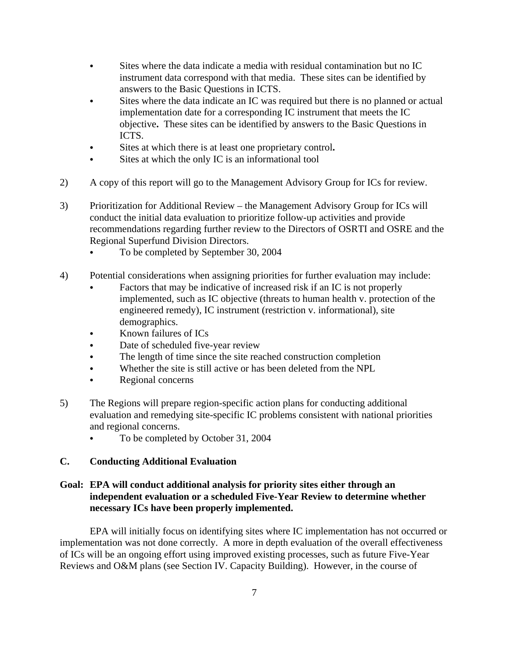- C Sites where the data indicate a media with residual contamination but no IC instrument data correspond with that media. These sites can be identified by answers to the Basic Questions in ICTS.
- Sites where the data indicate an IC was required but there is no planned or actual implementation date for a corresponding IC instrument that meets the IC objective**.** These sites can be identified by answers to the Basic Questions in ICTS.
- C Sites at which there is at least one proprietary control**.**
- $\bullet$  Sites at which the only IC is an informational tool
- 2) A copy of this report will go to the Management Advisory Group for ICs for review.
- 3) Prioritization for Additional Review the Management Advisory Group for ICs will conduct the initial data evaluation to prioritize follow-up activities and provide recommendations regarding further review to the Directors of OSRTI and OSRE and the Regional Superfund Division Directors.
	- To be completed by September 30, 2004
- 4) Potential considerations when assigning priorities for further evaluation may include:
	- Factors that may be indicative of increased risk if an IC is not properly implemented, such as IC objective (threats to human health v. protection of the engineered remedy), IC instrument (restriction v. informational), site demographics.
	- Known failures of ICs
	- Date of scheduled five-year review
	- The length of time since the site reached construction completion
	- Whether the site is still active or has been deleted from the NPL
	- Regional concerns
- 5) The Regions will prepare region-specific action plans for conducting additional evaluation and remedying site-specific IC problems consistent with national priorities and regional concerns.
	- To be completed by October 31, 2004

# **C. Conducting Additional Evaluation**

# **Goal: EPA will conduct additional analysis for priority sites either through an independent evaluation or a scheduled Five-Year Review to determine whether necessary ICs have been properly implemented.**

EPA will initially focus on identifying sites where IC implementation has not occurred or implementation was not done correctly. A more in depth evaluation of the overall effectiveness of ICs will be an ongoing effort using improved existing processes, such as future Five-Year Reviews and O&M plans (see Section IV. Capacity Building). However, in the course of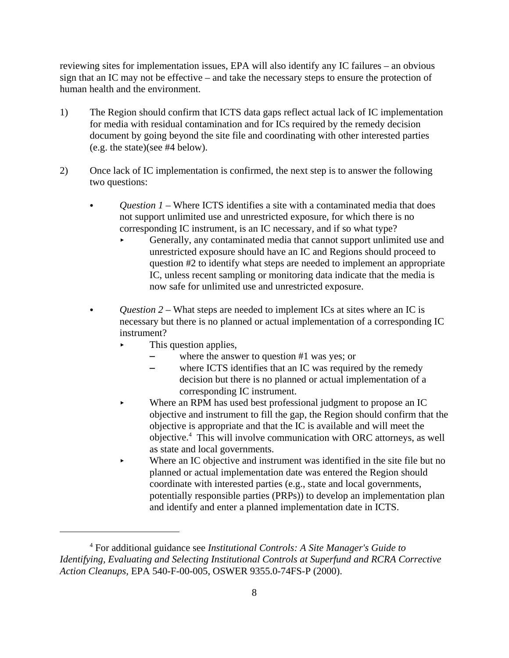reviewing sites for implementation issues, EPA will also identify any IC failures – an obvious sign that an IC may not be effective – and take the necessary steps to ensure the protection of human health and the environment.

- 1) The Region should confirm that ICTS data gaps reflect actual lack of IC implementation for media with residual contamination and for ICs required by the remedy decision document by going beyond the site file and coordinating with other interested parties (e.g. the state)(see #4 below).
- 2) Once lack of IC implementation is confirmed, the next step is to answer the following two questions:
	- Question 1 Where ICTS identifies a site with a contaminated media that does not support unlimited use and unrestricted exposure, for which there is no corresponding IC instrument, is an IC necessary, and if so what type?
		- Generally, any contaminated media that cannot support unlimited use and unrestricted exposure should have an IC and Regions should proceed to question #2 to identify what steps are needed to implement an appropriate IC, unless recent sampling or monitoring data indicate that the media is now safe for unlimited use and unrestricted exposure.
	- *Question 2* What steps are needed to implement ICs at sites where an IC is necessary but there is no planned or actual implementation of a corresponding IC instrument?
		- This question applies,
			- where the answer to question  $#1$  was yes; or
			- where ICTS identifies that an IC was required by the remedy decision but there is no planned or actual implementation of a corresponding IC instrument.
		- Where an RPM has used best professional judgment to propose an IC objective and instrument to fill the gap, the Region should confirm that the objective is appropriate and that the IC is available and will meet the objective.4 This will involve communication with ORC attorneys, as well as state and local governments.
		- Where an IC objective and instrument was identified in the site file but no planned or actual implementation date was entered the Region should coordinate with interested parties (e.g., state and local governments, potentially responsible parties (PRPs)) to develop an implementation plan and identify and enter a planned implementation date in ICTS.

<sup>4</sup> For additional guidance see *Institutional Controls: A Site Manager's Guide to Identifying, Evaluating and Selecting Institutional Controls at Superfund and RCRA Corrective Action Cleanups,* EPA 540-F-00-005, OSWER 9355.0-74FS-P (2000).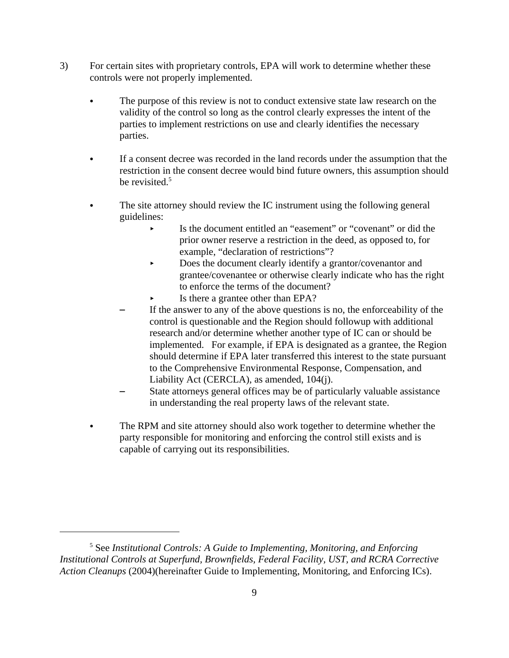- 3) For certain sites with proprietary controls, EPA will work to determine whether these controls were not properly implemented.
	- The purpose of this review is not to conduct extensive state law research on the validity of the control so long as the control clearly expresses the intent of the parties to implement restrictions on use and clearly identifies the necessary parties.
	- If a consent decree was recorded in the land records under the assumption that the restriction in the consent decree would bind future owners, this assumption should be revisited.<sup>5</sup>
	- The site attorney should review the IC instrument using the following general guidelines:
		- < Is the document entitled an "easement" or "covenant" or did the prior owner reserve a restriction in the deed, as opposed to, for example, "declaration of restrictions"?
		- Does the document clearly identify a grantor/covenantor and grantee/covenantee or otherwise clearly indicate who has the right to enforce the terms of the document?
		- Is there a grantee other than EPA?
		- If the answer to any of the above questions is no, the enforceability of the control is questionable and the Region should followup with additional research and/or determine whether another type of IC can or should be implemented. For example, if EPA is designated as a grantee, the Region should determine if EPA later transferred this interest to the state pursuant to the Comprehensive Environmental Response, Compensation, and Liability Act (CERCLA), as amended, 104(j).
		- State attorneys general offices may be of particularly valuable assistance in understanding the real property laws of the relevant state.
	- The RPM and site attorney should also work together to determine whether the party responsible for monitoring and enforcing the control still exists and is capable of carrying out its responsibilities.

<sup>&</sup>lt;sup>5</sup> See Institutional Controls: A Guide to Implementing, Monitoring, and Enforcing *Institutional Controls at Superfund, Brownfields, Federal Facility, UST, and RCRA Corrective Action Cleanups* (2004)(hereinafter Guide to Implementing, Monitoring, and Enforcing ICs).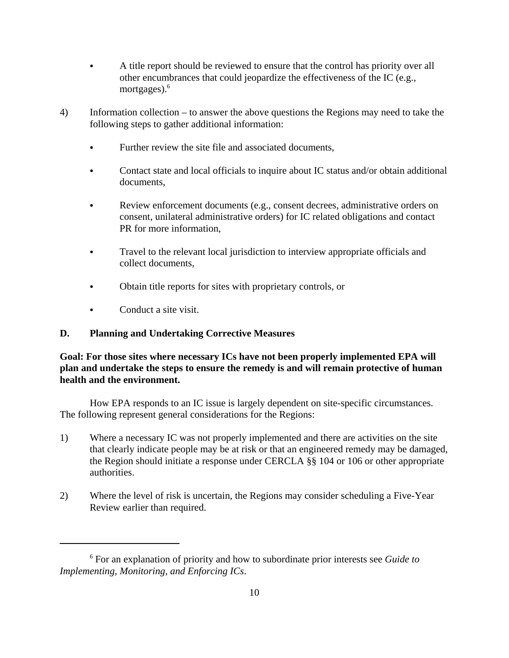- A title report should be reviewed to ensure that the control has priority over all other encumbrances that could jeopardize the effectiveness of the IC (e.g., mortgages). $6\frac{1}{2}$
- 4) Information collection to answer the above questions the Regions may need to take the following steps to gather additional information:
	- Further review the site file and associated documents,
	- Contact state and local officials to inquire about IC status and/or obtain additional documents,
	- Review enforcement documents (e.g., consent decrees, administrative orders on consent, unilateral administrative orders) for IC related obligations and contact PR for more information,
	- Travel to the relevant local jurisdiction to interview appropriate officials and collect documents,
	- Obtain title reports for sites with proprietary controls, or
	- Conduct a site visit.

# **D. Planning and Undertaking Corrective Measures**

**Goal: For those sites where necessary ICs have not been properly implemented EPA will plan and undertake the steps to ensure the remedy is and will remain protective of human health and the environment.** 

How EPA responds to an IC issue is largely dependent on site-specific circumstances. The following represent general considerations for the Regions:

- 1) Where a necessary IC was not properly implemented and there are activities on the site that clearly indicate people may be at risk or that an engineered remedy may be damaged, the Region should initiate a response under CERCLA §§ 104 or 106 or other appropriate authorities.
- 2) Where the level of risk is uncertain, the Regions may consider scheduling a Five-Year Review earlier than required.

<sup>6</sup> For an explanation of priority and how to subordinate prior interests see *Guide to Implementing, Monitoring, and Enforcing ICs*.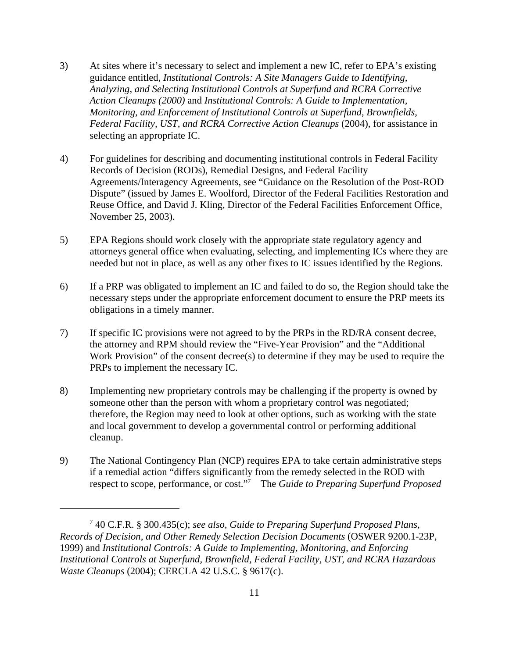- 3) At sites where it's necessary to select and implement a new IC, refer to EPA's existing guidance entitled, *Institutional Controls: A Site Managers Guide to Identifying, Analyzing, and Selecting Institutional Controls at Superfund and RCRA Corrective Action Cleanups (2000)* and *Institutional Controls: A Guide to Implementation, Monitoring, and Enforcement of Institutional Controls at Superfund, Brownfields, Federal Facility, UST, and RCRA Corrective Action Cleanups (2004), for assistance in* selecting an appropriate IC.
- 4) For guidelines for describing and documenting institutional controls in Federal Facility Records of Decision (RODs), Remedial Designs, and Federal Facility Agreements/Interagency Agreements, see "Guidance on the Resolution of the Post-ROD Dispute" (issued by James E. Woolford, Director of the Federal Facilities Restoration and Reuse Office, and David J. Kling, Director of the Federal Facilities Enforcement Office, November 25, 2003).
- 5) EPA Regions should work closely with the appropriate state regulatory agency and attorneys general office when evaluating, selecting, and implementing ICs where they are needed but not in place, as well as any other fixes to IC issues identified by the Regions.
- 6) If a PRP was obligated to implement an IC and failed to do so, the Region should take the necessary steps under the appropriate enforcement document to ensure the PRP meets its obligations in a timely manner.
- 7) If specific IC provisions were not agreed to by the PRPs in the RD/RA consent decree, the attorney and RPM should review the "Five-Year Provision" and the "Additional Work Provision" of the consent decree(s) to determine if they may be used to require the PRPs to implement the necessary IC.
- 8) Implementing new proprietary controls may be challenging if the property is owned by someone other than the person with whom a proprietary control was negotiated; therefore, the Region may need to look at other options, such as working with the state and local government to develop a governmental control or performing additional cleanup.
- 9) The National Contingency Plan (NCP) requires EPA to take certain administrative steps if a remedial action "differs significantly from the remedy selected in the ROD with respect to scope, performance, or cost."7 The *Guide to Preparing Superfund Proposed*

<sup>7</sup> 40 C.F.R. § 300.435(c); *see also, Guide to Preparing Superfund Proposed Plans, Records of Decision, and Other Remedy Selection Decision Documents* (OSWER 9200.1-23P, 1999) and *Institutional Controls: A Guide to Implementing, Monitoring, and Enforcing Institutional Controls at Superfund, Brownfield, Federal Facility, UST, and RCRA Hazardous Waste Cleanups* (2004); CERCLA 42 U.S.C. § 9617(c).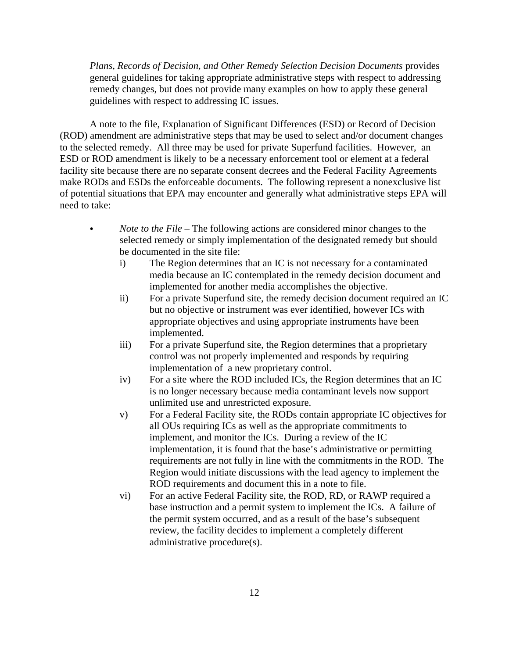*Plans, Records of Decision, and Other Remedy Selection Decision Documents* provides general guidelines for taking appropriate administrative steps with respect to addressing remedy changes, but does not provide many examples on how to apply these general guidelines with respect to addressing IC issues.

A note to the file, Explanation of Significant Differences (ESD) or Record of Decision (ROD) amendment are administrative steps that may be used to select and/or document changes to the selected remedy. All three may be used for private Superfund facilities. However, an ESD or ROD amendment is likely to be a necessary enforcement tool or element at a federal facility site because there are no separate consent decrees and the Federal Facility Agreements make RODs and ESDs the enforceable documents. The following represent a nonexclusive list of potential situations that EPA may encounter and generally what administrative steps EPA will need to take:

- *Note to the File* The following actions are considered minor changes to the selected remedy or simply implementation of the designated remedy but should be documented in the site file:
	- i) The Region determines that an IC is not necessary for a contaminated media because an IC contemplated in the remedy decision document and implemented for another media accomplishes the objective.
	- ii) For a private Superfund site, the remedy decision document required an IC but no objective or instrument was ever identified, however ICs with appropriate objectives and using appropriate instruments have been implemented.
	- iii) For a private Superfund site, the Region determines that a proprietary control was not properly implemented and responds by requiring implementation of a new proprietary control.
	- iv) For a site where the ROD included ICs, the Region determines that an IC is no longer necessary because media contaminant levels now support unlimited use and unrestricted exposure.
	- v) For a Federal Facility site, the RODs contain appropriate IC objectives for all OUs requiring ICs as well as the appropriate commitments to implement, and monitor the ICs. During a review of the IC implementation, it is found that the base's administrative or permitting requirements are not fully in line with the commitments in the ROD. The Region would initiate discussions with the lead agency to implement the ROD requirements and document this in a note to file.
	- vi) For an active Federal Facility site, the ROD, RD, or RAWP required a base instruction and a permit system to implement the ICs. A failure of the permit system occurred, and as a result of the base's subsequent review, the facility decides to implement a completely different administrative procedure(s).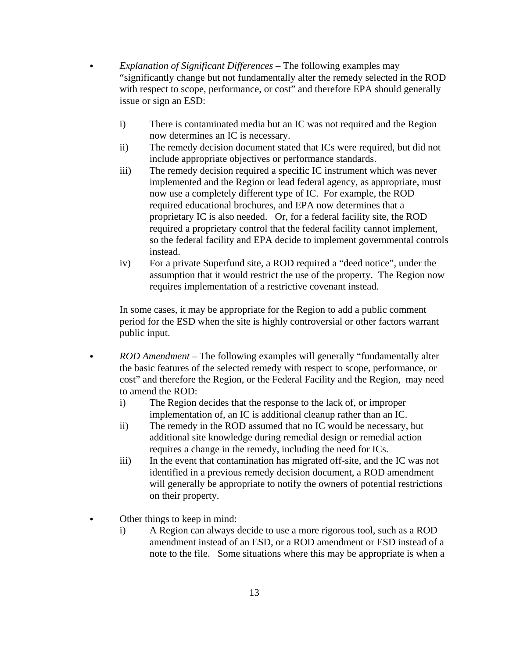- C *Explanation of Significant Differences* The following examples may "significantly change but not fundamentally alter the remedy selected in the ROD with respect to scope, performance, or cost" and therefore EPA should generally issue or sign an ESD:
	- i) There is contaminated media but an IC was not required and the Region now determines an IC is necessary.
	- ii) The remedy decision document stated that ICs were required, but did not include appropriate objectives or performance standards.
	- iii) The remedy decision required a specific IC instrument which was never implemented and the Region or lead federal agency, as appropriate, must now use a completely different type of IC. For example, the ROD required educational brochures, and EPA now determines that a proprietary IC is also needed. Or, for a federal facility site, the ROD required a proprietary control that the federal facility cannot implement, so the federal facility and EPA decide to implement governmental controls instead.
	- iv) For a private Superfund site, a ROD required a "deed notice", under the assumption that it would restrict the use of the property. The Region now requires implementation of a restrictive covenant instead.

In some cases, it may be appropriate for the Region to add a public comment period for the ESD when the site is highly controversial or other factors warrant public input.

- *ROD Amendment* The following examples will generally "fundamentally alter the basic features of the selected remedy with respect to scope, performance, or cost" and therefore the Region, or the Federal Facility and the Region, may need to amend the ROD:
	- i) The Region decides that the response to the lack of, or improper implementation of, an IC is additional cleanup rather than an IC.
	- ii) The remedy in the ROD assumed that no IC would be necessary, but additional site knowledge during remedial design or remedial action requires a change in the remedy, including the need for ICs.
	- iii) In the event that contamination has migrated off-site, and the IC was not identified in a previous remedy decision document, a ROD amendment will generally be appropriate to notify the owners of potential restrictions on their property.
- Other things to keep in mind:
	- i) A Region can always decide to use a more rigorous tool, such as a ROD amendment instead of an ESD, or a ROD amendment or ESD instead of a note to the file. Some situations where this may be appropriate is when a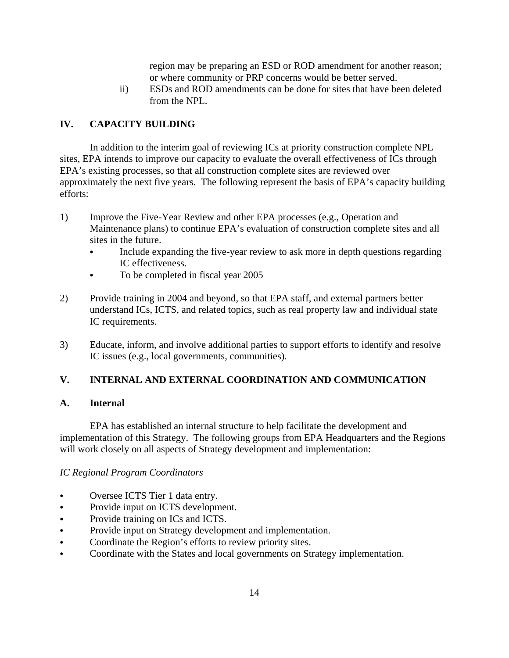region may be preparing an ESD or ROD amendment for another reason; or where community or PRP concerns would be better served.

ii) ESDs and ROD amendments can be done for sites that have been deleted from the NPL.

# **IV. CAPACITY BUILDING**

In addition to the interim goal of reviewing ICs at priority construction complete NPL sites, EPA intends to improve our capacity to evaluate the overall effectiveness of ICs through EPA's existing processes, so that all construction complete sites are reviewed over approximately the next five years. The following represent the basis of EPA's capacity building efforts:

- 1) Improve the Five-Year Review and other EPA processes (e.g., Operation and Maintenance plans) to continue EPA's evaluation of construction complete sites and all sites in the future.
	- Include expanding the five-year review to ask more in depth questions regarding IC effectiveness.
	- To be completed in fiscal year 2005
- 2) Provide training in 2004 and beyond, so that EPA staff, and external partners better understand ICs, ICTS, and related topics, such as real property law and individual state IC requirements.
- 3) Educate, inform, and involve additional parties to support efforts to identify and resolve IC issues (e.g., local governments, communities).

### **V. INTERNAL AND EXTERNAL COORDINATION AND COMMUNICATION**

#### **A. Internal**

EPA has established an internal structure to help facilitate the development and implementation of this Strategy. The following groups from EPA Headquarters and the Regions will work closely on all aspects of Strategy development and implementation:

#### *IC Regional Program Coordinators*

- Oversee ICTS Tier 1 data entry.
- Provide input on ICTS development.
- Provide training on ICs and ICTS.
- Provide input on Strategy development and implementation.
- Coordinate the Region's efforts to review priority sites.
- Coordinate with the States and local governments on Strategy implementation.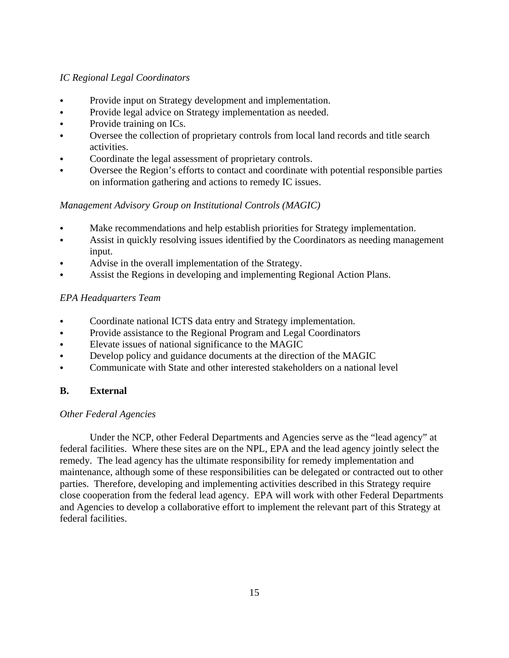# *IC Regional Legal Coordinators*

- Provide input on Strategy development and implementation.
- Provide legal advice on Strategy implementation as needed.
- Provide training on ICs.
- Oversee the collection of proprietary controls from local land records and title search activities.
- Coordinate the legal assessment of proprietary controls.
- Oversee the Region's efforts to contact and coordinate with potential responsible parties on information gathering and actions to remedy IC issues.

# *Management Advisory Group on Institutional Controls (MAGIC)*

- Make recommendations and help establish priorities for Strategy implementation.
- Assist in quickly resolving issues identified by the Coordinators as needing management input.
- Advise in the overall implementation of the Strategy.
- Assist the Regions in developing and implementing Regional Action Plans.

# *EPA Headquarters Team*

- Coordinate national ICTS data entry and Strategy implementation.
- Provide assistance to the Regional Program and Legal Coordinators
- Elevate issues of national significance to the MAGIC
- Develop policy and guidance documents at the direction of the MAGIC
- Communicate with State and other interested stakeholders on a national level

# **B. External**

# *Other Federal Agencies*

Under the NCP, other Federal Departments and Agencies serve as the "lead agency" at federal facilities. Where these sites are on the NPL, EPA and the lead agency jointly select the remedy. The lead agency has the ultimate responsibility for remedy implementation and maintenance, although some of these responsibilities can be delegated or contracted out to other parties. Therefore, developing and implementing activities described in this Strategy require close cooperation from the federal lead agency. EPA will work with other Federal Departments and Agencies to develop a collaborative effort to implement the relevant part of this Strategy at federal facilities.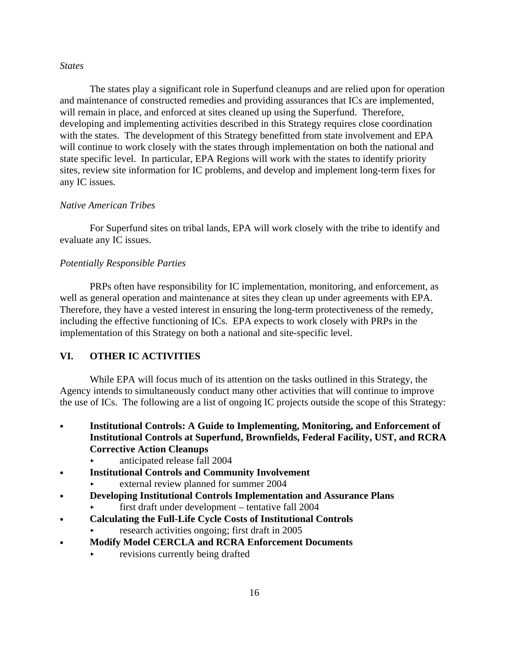#### *States*

The states play a significant role in Superfund cleanups and are relied upon for operation and maintenance of constructed remedies and providing assurances that ICs are implemented, will remain in place, and enforced at sites cleaned up using the Superfund. Therefore, developing and implementing activities described in this Strategy requires close coordination with the states. The development of this Strategy benefitted from state involvement and EPA will continue to work closely with the states through implementation on both the national and state specific level. In particular, EPA Regions will work with the states to identify priority sites, review site information for IC problems, and develop and implement long-term fixes for any IC issues.

#### *Native American Tribes*

For Superfund sites on tribal lands, EPA will work closely with the tribe to identify and evaluate any IC issues.

#### *Potentially Responsible Parties*

PRPs often have responsibility for IC implementation, monitoring, and enforcement, as well as general operation and maintenance at sites they clean up under agreements with EPA. Therefore, they have a vested interest in ensuring the long-term protectiveness of the remedy, including the effective functioning of ICs. EPA expects to work closely with PRPs in the implementation of this Strategy on both a national and site-specific level.

# **VI. OTHER IC ACTIVITIES**

While EPA will focus much of its attention on the tasks outlined in this Strategy, the Agency intends to simultaneously conduct many other activities that will continue to improve the use of ICs. The following are a list of ongoing IC projects outside the scope of this Strategy:

- **Institutional Controls: A Guide to Implementing, Monitoring, and Enforcement of Institutional Controls at Superfund, Brownfields, Federal Facility, UST, and RCRA Corrective Action Cleanups** 
	- $\blacktriangleright$  anticipated release fall 2004
- C **Institutional Controls and Community Involvement** 
	- < external review planned for summer 2004
- C **Developing Institutional Controls Implementation and Assurance Plans** 
	- < first draft under development tentative fall 2004
- C **Calculating the Full-Life Cycle Costs of Institutional Controls** 
	- $\blacktriangleright$  research activities ongoing; first draft in 2005
- C **Modify Model CERCLA and RCRA Enforcement Documents** 
	- revisions currently being drafted